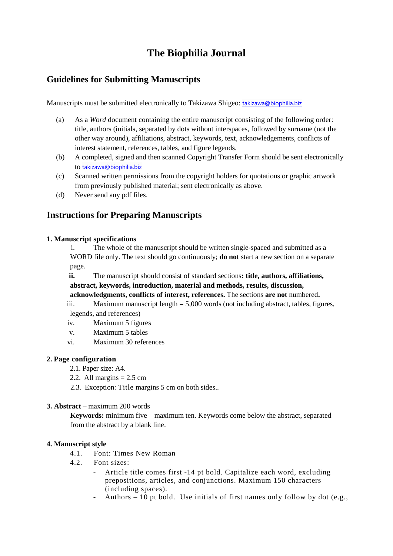# **The Biophilia Journal**

## **Guidelines for Submitting Manuscripts**

Manuscripts must be submitted electronically to Takizawa Shigeo: [takizawa@biophilia.biz](mailto:takizawa@biophilia.biz)

- (a) As a *Word* document containing the entire manuscript consisting of the following order: title, authors (initials, separated by dots without interspaces, followed by surname (not the other way around), affiliations, abstract, keywords, text, acknowledgements, conflicts of interest statement, references, tables, and figure legends.
- (b) A completed, signed and then scanned Copyright Transfer Form should be sent electronically to [takizawa@biophilia.biz](mailto:takizawa@biophilia.biz)
- (c) Scanned written permissions from the copyright holders for quotations or graphic artwork from previously published material; sent electronically as above.
- (d) Never send any pdf files.

## **Instructions for Preparing Manuscripts**

### **1. Manuscript specifications**

i. The whole of the manuscript should be written single-spaced and submitted as a WORD file only. The text should go continuously; **do not** start a new section on a separate page.

**ii.** The manuscript should consist of standard sections**: title, authors, affiliations, abstract, keywords, introduction, material and methods, results, discussion, acknowledgments, conflicts of interest, references.** The sections **are not** numbered**.** 

iii. Maximum manuscript length = 5,000 words (not including abstract, tables, figures, legends, and references)

- iv. Maximum 5 figures
- v. Maximum 5 tables
- vi. Maximum 30 references

## **2. Page configuration**

- 2.1. Paper size: A4.
- 2.2. All margins  $= 2.5$  cm
- 2.3. Exception: Title margins 5 cm on both sides..

### **3. Abstract** – maximum 200 words

**Keywords:** minimum five – maximum ten. Keywords come below the abstract, separated from the abstract by a blank line.

## **4. Manuscript style**

- 4.1. Font: Times New Roman
- 4.2. Font sizes:
	- Article title comes first -14 pt bold. Capitalize each word, excluding prepositions, articles, and conjunctions. Maximum 150 characters (including spaces).
	- Authors  $-10$  pt bold. Use initials of first names only follow by dot (e.g.,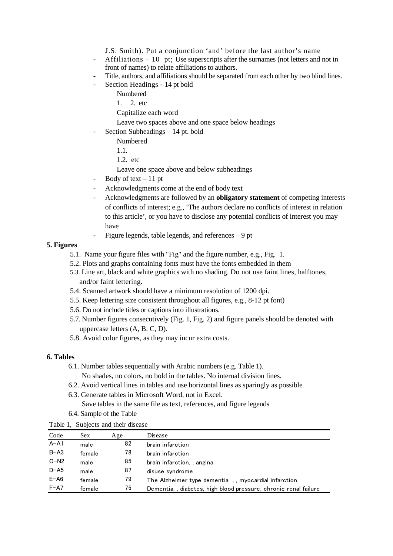J.S. Smith). Put a conjunction 'and' before the last author's name

- Affiliations  $-10$  pt; Use superscripts after the surnames (not letters and not in front of names) to relate affiliations to authors.
- Title, authors, and affiliations should be separated from each other by two blind lines.
- Section Headings 14 pt bold

Numbered

1. 2. etc

Capitalize each word

Leave two spaces above and one space below headings

Section Subheadings – 14 pt. bold

Numbered

1.1.

1.2. etc

Leave one space above and below subheadings

- Body of text  $-11$  pt
- Acknowledgments come at the end of body text
- Acknowledgments are followed by an **obligatory statement** of competing interests of conflicts of interest; e.g., 'The authors declare no conflicts of interest in relation to this article', or you have to disclose any potential conflicts of interest you may have
- Figure legends, table legends, and references 9 pt

#### **5. Figures**

- 5.1. Name your figure files with "Fig" and the figure number, e.g., Fig. 1.
- 5.2. Plots and graphs containing fonts must have the fonts embedded in them
- 5.3. Line art, black and white graphics with no shading. Do not use faint lines, halftones, and/or faint lettering.
- 5.4. Scanned artwork should have a minimum resolution of 1200 dpi.
- 5.5. Keep lettering size consistent throughout all figures, e.g., 8-12 pt font)
- 5.6. Do not include titles or captions into illustrations.
- 5.7. Number figures consecutively (Fig. 1, Fig. 2) and figure panels should be denoted with uppercase letters (A, B. C, D).
- 5.8. Avoid color figures, as they may incur extra costs.

#### **6. Tables**

- 6.1. Number tables sequentially with Arabic numbers (e.g. Table 1). No shades, no colors, no bold in the tables. No internal division lines.
- 6.2. Avoid vertical lines in tables and use horizontal lines as sparingly as possible
- 6.3. Generate tables in Microsoft Word, not in Excel. Save tables in the same file as text, references, and figure legends
- 6.4. Sample of the Table

|  | Table 1, Subjects and their disease |  |  |
|--|-------------------------------------|--|--|
|--|-------------------------------------|--|--|

| Code     | Sex.   | Age | Disease                                                         |
|----------|--------|-----|-----------------------------------------------------------------|
| $A - A1$ | male   | 82  | brain infarction                                                |
| $B - A3$ | female | 78  | brain infarction                                                |
| $C-N2$   | male   | 85  | brain infarction, angina                                        |
| $D - A5$ | male   | 87  | disuse syndrome                                                 |
| $E - A6$ | female | 79  | The Alzheimer type dementia, myocardial infarction              |
| $F - A7$ | female | 75  | Dementia,, diabetes, high blood pressure, chronic renal failure |